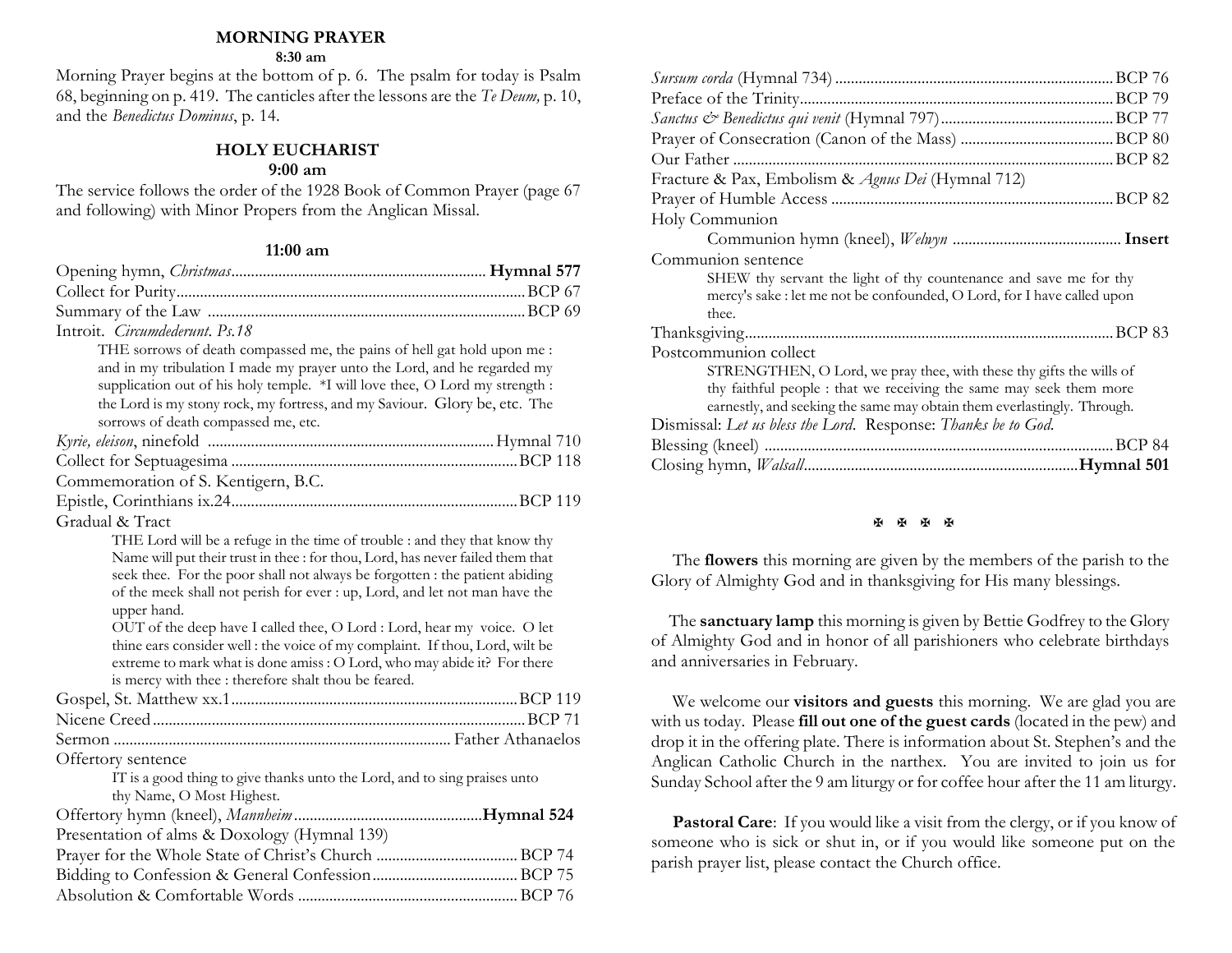## **MORNING PRAYER**

#### **8:30 am**

Morning Prayer begins at the bottom of p. 6. The psalm for today is Psalm 68, beginning on p. 419. The canticles after the lessons are the *Te Deum,* p. 10, and the *Benedictus Dominus*, p. 14.

# **HOLY EUCHARIST**

# **9:00 am**

The service follows the order of the 1928 Book of Common Prayer (page 67 and following) with Minor Propers from the Anglican Missal.

#### **11:00 am**

| Introit. Circumdederunt. Ps.18                                                                                                                                                                                                                                                                                                                                                                                                                                                                                                                                                                                                         |  |
|----------------------------------------------------------------------------------------------------------------------------------------------------------------------------------------------------------------------------------------------------------------------------------------------------------------------------------------------------------------------------------------------------------------------------------------------------------------------------------------------------------------------------------------------------------------------------------------------------------------------------------------|--|
| THE sorrows of death compassed me, the pains of hell gat hold upon me :<br>and in my tribulation I made my prayer unto the Lord, and he regarded my<br>supplication out of his holy temple. *I will love thee, O Lord my strength :<br>the Lord is my stony rock, my fortress, and my Saviour. Glory be, etc. The<br>sorrows of death compassed me, etc.                                                                                                                                                                                                                                                                               |  |
|                                                                                                                                                                                                                                                                                                                                                                                                                                                                                                                                                                                                                                        |  |
|                                                                                                                                                                                                                                                                                                                                                                                                                                                                                                                                                                                                                                        |  |
| Commemoration of S. Kentigern, B.C.                                                                                                                                                                                                                                                                                                                                                                                                                                                                                                                                                                                                    |  |
|                                                                                                                                                                                                                                                                                                                                                                                                                                                                                                                                                                                                                                        |  |
| Gradual & Tract                                                                                                                                                                                                                                                                                                                                                                                                                                                                                                                                                                                                                        |  |
| THE Lord will be a refuge in the time of trouble : and they that know thy<br>Name will put their trust in thee : for thou, Lord, has never failed them that<br>seek thee. For the poor shall not always be forgotten : the patient abiding<br>of the meek shall not perish for ever : up, Lord, and let not man have the<br>upper hand.<br>OUT of the deep have I called thee, O Lord : Lord, hear my voice. O let<br>thine ears consider well : the voice of my complaint. If thou, Lord, wilt be<br>extreme to mark what is done amiss : O Lord, who may abide it? For there<br>is mercy with thee : therefore shalt thou be feared. |  |
|                                                                                                                                                                                                                                                                                                                                                                                                                                                                                                                                                                                                                                        |  |
|                                                                                                                                                                                                                                                                                                                                                                                                                                                                                                                                                                                                                                        |  |
|                                                                                                                                                                                                                                                                                                                                                                                                                                                                                                                                                                                                                                        |  |
| Offertory sentence                                                                                                                                                                                                                                                                                                                                                                                                                                                                                                                                                                                                                     |  |
| IT is a good thing to give thanks unto the Lord, and to sing praises unto<br>thy Name, O Most Highest.                                                                                                                                                                                                                                                                                                                                                                                                                                                                                                                                 |  |
|                                                                                                                                                                                                                                                                                                                                                                                                                                                                                                                                                                                                                                        |  |
| Presentation of alms & Doxology (Hymnal 139)                                                                                                                                                                                                                                                                                                                                                                                                                                                                                                                                                                                           |  |
|                                                                                                                                                                                                                                                                                                                                                                                                                                                                                                                                                                                                                                        |  |
|                                                                                                                                                                                                                                                                                                                                                                                                                                                                                                                                                                                                                                        |  |
|                                                                                                                                                                                                                                                                                                                                                                                                                                                                                                                                                                                                                                        |  |

| Fracture & Pax, Embolism & Agnus Dei (Hymnal 712)                       |  |
|-------------------------------------------------------------------------|--|
|                                                                         |  |
| Holy Communion                                                          |  |
|                                                                         |  |
| Communion sentence                                                      |  |
| SHEW thy servant the light of thy countenance and save me for thy       |  |
| mercy's sake : let me not be confounded, O Lord, for I have called upon |  |
| thee.                                                                   |  |
|                                                                         |  |
| Postcommunion collect                                                   |  |
| STRENGTHEN, O Lord, we pray thee, with these thy gifts the wills of     |  |
| thy faithful people: that we receiving the same may seek them more      |  |
| earnestly, and seeking the same may obtain them everlastingly. Through. |  |
| Dismissal: Let us bless the Lord. Response: Thanks be to God.           |  |
|                                                                         |  |
|                                                                         |  |

#### 图图图图

The **flowers** this morning are given by the members of the parish to the Glory of Almighty God and in thanksgiving for His many blessings.

 The **sanctuary lamp** this morning is given by Bettie Godfrey to the Glory of Almighty God and in honor of all parishioners who celebrate birthdays and anniversaries in February.

We welcome our **visitors and guests** this morning. We are glad you are with us today. Please **fill out one of the guest cards** (located in the pew) and drop it in the offering plate. There is information about St. Stephen's and the Anglican Catholic Church in the narthex. You are invited to join us for Sunday School after the 9 am liturgy or for coffee hour after the 11 am liturgy.

**Pastoral Care:** If you would like a visit from the clergy, or if you know of someone who is sick or shut in, or if you would like someone put on the parish prayer list, please contact the Church office.